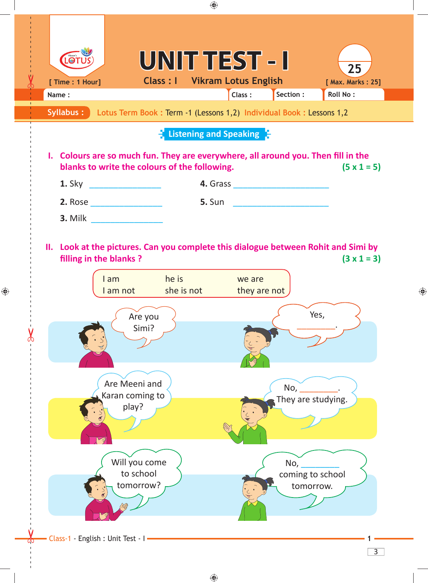

 $\bigoplus$